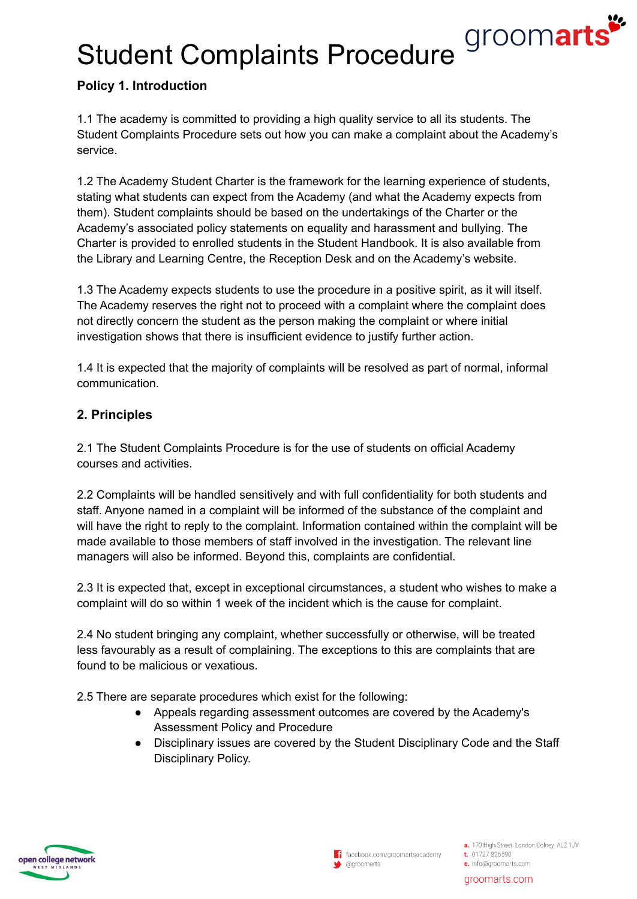# Student Complaints Procedure *groomarts*

# **Policy 1. Introduction**

1.1 The academy is committed to providing a high quality service to all its students. The Student Complaints Procedure sets out how you can make a complaint about the Academy's service.

1.2 The Academy Student Charter is the framework for the learning experience of students, stating what students can expect from the Academy (and what the Academy expects from them). Student complaints should be based on the undertakings of the Charter or the Academy's associated policy statements on equality and harassment and bullying. The Charter is provided to enrolled students in the Student Handbook. It is also available from the Library and Learning Centre, the Reception Desk and on the Academy's website.

1.3 The Academy expects students to use the procedure in a positive spirit, as it will itself. The Academy reserves the right not to proceed with a complaint where the complaint does not directly concern the student as the person making the complaint or where initial investigation shows that there is insufficient evidence to justify further action.

1.4 It is expected that the majority of complaints will be resolved as part of normal, informal communication.

# **2. Principles**

2.1 The Student Complaints Procedure is for the use of students on official Academy courses and activities.

2.2 Complaints will be handled sensitively and with full confidentiality for both students and staff. Anyone named in a complaint will be informed of the substance of the complaint and will have the right to reply to the complaint. Information contained within the complaint will be made available to those members of staff involved in the investigation. The relevant line managers will also be informed. Beyond this, complaints are confidential.

2.3 It is expected that, except in exceptional circumstances, a student who wishes to make a complaint will do so within 1 week of the incident which is the cause for complaint.

2.4 No student bringing any complaint, whether successfully or otherwise, will be treated less favourably as a result of complaining. The exceptions to this are complaints that are found to be malicious or vexatious.

2.5 There are separate procedures which exist for the following:

- Appeals regarding assessment outcomes are covered by the Academy's Assessment Policy and Procedure
- Disciplinary issues are covered by the Student Disciplinary Code and the Staff Disciplinary Policy.

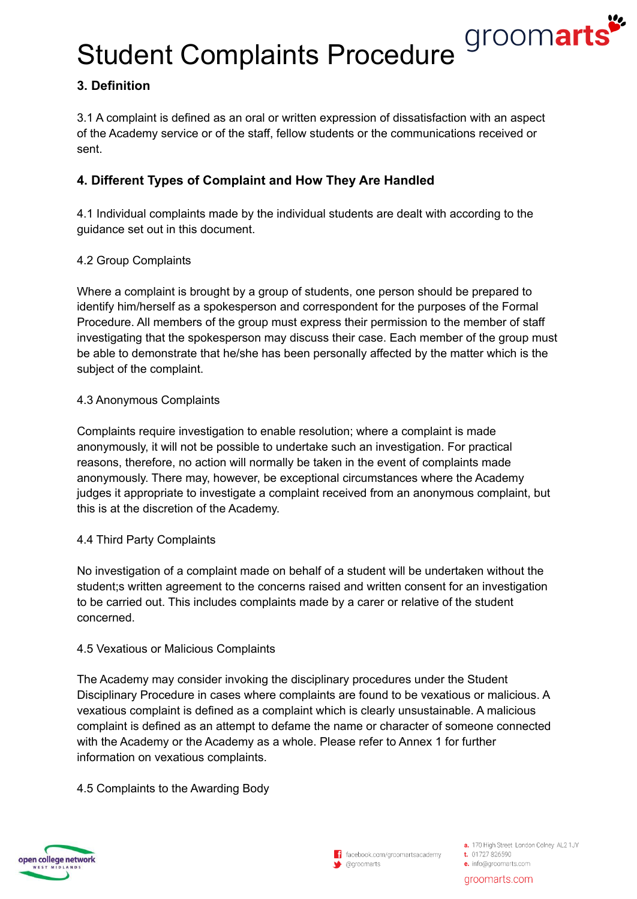Student Complaints Procedure *groomarts* 

# **3. Definition**

3.1 A complaint is defined as an oral or written expression of dissatisfaction with an aspect of the Academy service or of the staff, fellow students or the communications received or sent.

# **4. Different Types of Complaint and How They Are Handled**

4.1 Individual complaints made by the individual students are dealt with according to the guidance set out in this document.

## 4.2 Group Complaints

Where a complaint is brought by a group of students, one person should be prepared to identify him/herself as a spokesperson and correspondent for the purposes of the Formal Procedure. All members of the group must express their permission to the member of staff investigating that the spokesperson may discuss their case. Each member of the group must be able to demonstrate that he/she has been personally affected by the matter which is the subject of the complaint.

### 4.3 Anonymous Complaints

Complaints require investigation to enable resolution; where a complaint is made anonymously, it will not be possible to undertake such an investigation. For practical reasons, therefore, no action will normally be taken in the event of complaints made anonymously. There may, however, be exceptional circumstances where the Academy judges it appropriate to investigate a complaint received from an anonymous complaint, but this is at the discretion of the Academy.

### 4.4 Third Party Complaints

No investigation of a complaint made on behalf of a student will be undertaken without the student;s written agreement to the concerns raised and written consent for an investigation to be carried out. This includes complaints made by a carer or relative of the student concerned.

### 4.5 Vexatious or Malicious Complaints

The Academy may consider invoking the disciplinary procedures under the Student Disciplinary Procedure in cases where complaints are found to be vexatious or malicious. A vexatious complaint is defined as a complaint which is clearly unsustainable. A malicious complaint is defined as an attempt to defame the name or character of someone connected with the Academy or the Academy as a whole. Please refer to Annex 1 for further information on vexatious complaints.

### 4.5 Complaints to the Awarding Body

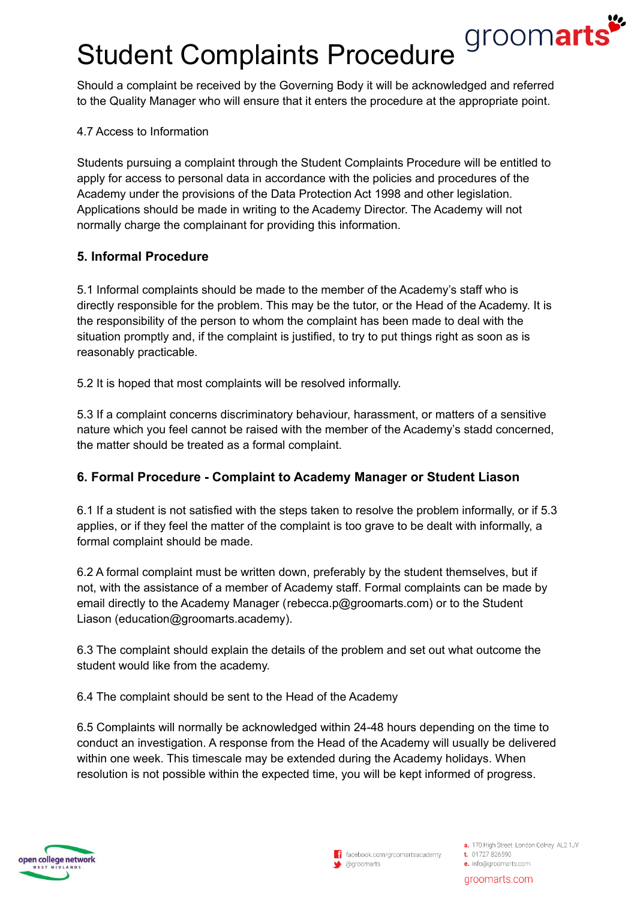# groomarts Student Complaints Procedure

Should a complaint be received by the Governing Body it will be acknowledged and referred to the Quality Manager who will ensure that it enters the procedure at the appropriate point.

## 4.7 Access to Information

Students pursuing a complaint through the Student Complaints Procedure will be entitled to apply for access to personal data in accordance with the policies and procedures of the Academy under the provisions of the Data Protection Act 1998 and other legislation. Applications should be made in writing to the Academy Director. The Academy will not normally charge the complainant for providing this information.

## **5. Informal Procedure**

5.1 Informal complaints should be made to the member of the Academy's staff who is directly responsible for the problem. This may be the tutor, or the Head of the Academy. It is the responsibility of the person to whom the complaint has been made to deal with the situation promptly and, if the complaint is justified, to try to put things right as soon as is reasonably practicable.

5.2 It is hoped that most complaints will be resolved informally.

5.3 If a complaint concerns discriminatory behaviour, harassment, or matters of a sensitive nature which you feel cannot be raised with the member of the Academy's stadd concerned, the matter should be treated as a formal complaint.

## **6. Formal Procedure - Complaint to Academy Manager or Student Liason**

6.1 If a student is not satisfied with the steps taken to resolve the problem informally, or if 5.3 applies, or if they feel the matter of the complaint is too grave to be dealt with informally, a formal complaint should be made.

6.2 A formal complaint must be written down, preferably by the student themselves, but if not, with the assistance of a member of Academy staff. Formal complaints can be made by email directly to the Academy Manager ([rebecca.p@groomarts.com](mailto:rebecca.p@groomarts.com)) or to the Student Liason [\(education@groomarts](mailto:education@groomarts.com).academy).

6.3 The complaint should explain the details of the problem and set out what outcome the student would like from the academy.

6.4 The complaint should be sent to the Head of the Academy

6.5 Complaints will normally be acknowledged within 24-48 hours depending on the time to conduct an investigation. A response from the Head of the Academy will usually be delivered within one week. This timescale may be extended during the Academy holidays. When resolution is not possible within the expected time, you will be kept informed of progress.

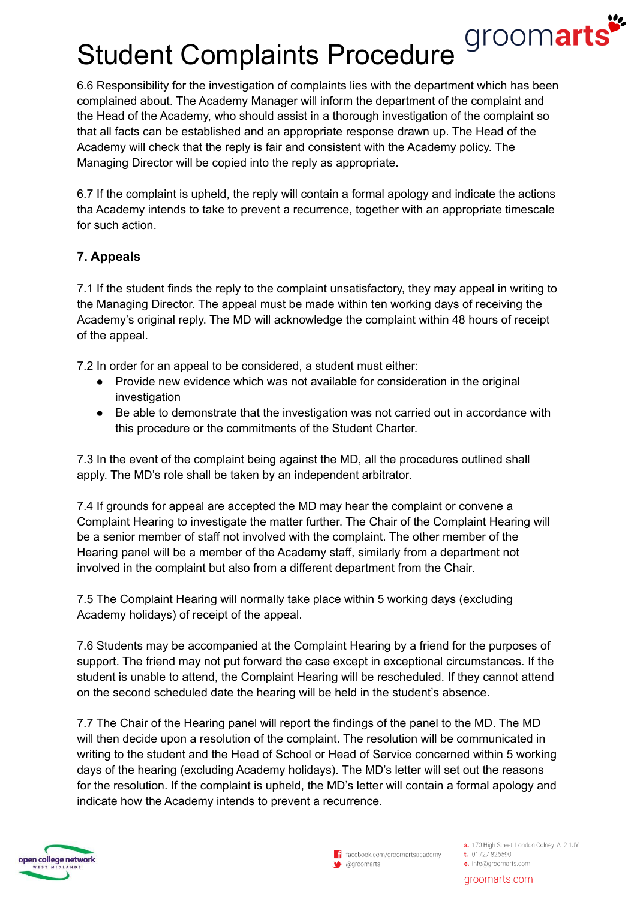# groomarts Student Complaints Procedure

6.6 Responsibility for the investigation of complaints lies with the department which has been complained about. The Academy Manager will inform the department of the complaint and the Head of the Academy, who should assist in a thorough investigation of the complaint so that all facts can be established and an appropriate response drawn up. The Head of the Academy will check that the reply is fair and consistent with the Academy policy. The Managing Director will be copied into the reply as appropriate.

6.7 If the complaint is upheld, the reply will contain a formal apology and indicate the actions tha Academy intends to take to prevent a recurrence, together with an appropriate timescale for such action.

# **7. Appeals**

7.1 If the student finds the reply to the complaint unsatisfactory, they may appeal in writing to the Managing Director. The appeal must be made within ten working days of receiving the Academy's original reply. The MD will acknowledge the complaint within 48 hours of receipt of the appeal.

7.2 In order for an appeal to be considered, a student must either:

- Provide new evidence which was not available for consideration in the original investigation
- Be able to demonstrate that the investigation was not carried out in accordance with this procedure or the commitments of the Student Charter.

7.3 In the event of the complaint being against the MD, all the procedures outlined shall apply. The MD's role shall be taken by an independent arbitrator.

7.4 If grounds for appeal are accepted the MD may hear the complaint or convene a Complaint Hearing to investigate the matter further. The Chair of the Complaint Hearing will be a senior member of staff not involved with the complaint. The other member of the Hearing panel will be a member of the Academy staff, similarly from a department not involved in the complaint but also from a different department from the Chair.

7.5 The Complaint Hearing will normally take place within 5 working days (excluding Academy holidays) of receipt of the appeal.

7.6 Students may be accompanied at the Complaint Hearing by a friend for the purposes of support. The friend may not put forward the case except in exceptional circumstances. If the student is unable to attend, the Complaint Hearing will be rescheduled. If they cannot attend on the second scheduled date the hearing will be held in the student's absence.

7.7 The Chair of the Hearing panel will report the findings of the panel to the MD. The MD will then decide upon a resolution of the complaint. The resolution will be communicated in writing to the student and the Head of School or Head of Service concerned within 5 working days of the hearing (excluding Academy holidays). The MD's letter will set out the reasons for the resolution. If the complaint is upheld, the MD's letter will contain a formal apology and indicate how the Academy intends to prevent a recurrence.



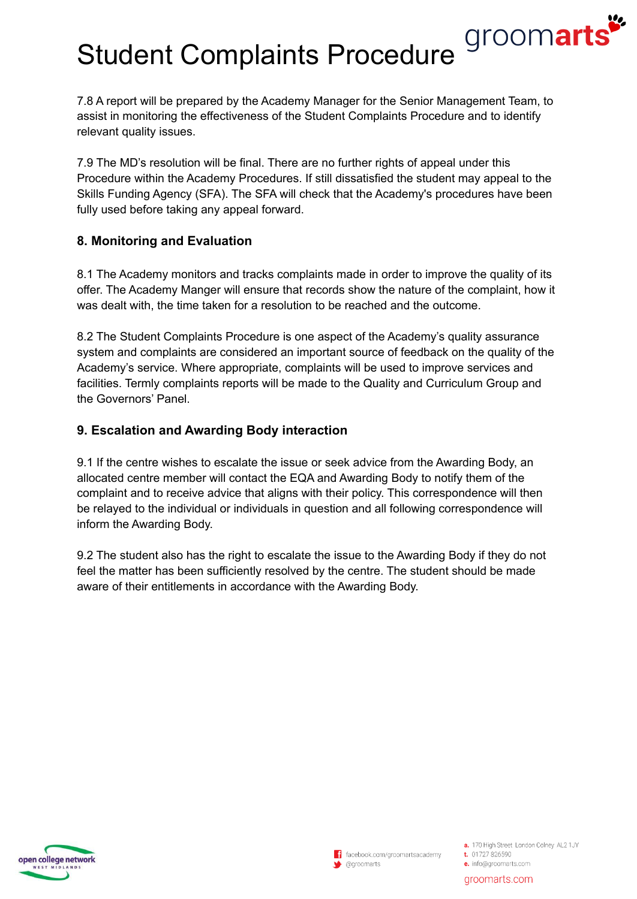# Student Complaints Procedure *groomarts*

7.8 A report will be prepared by the Academy Manager for the Senior Management Team, to assist in monitoring the effectiveness of the Student Complaints Procedure and to identify relevant quality issues.

7.9 The MD's resolution will be final. There are no further rights of appeal under this Procedure within the Academy Procedures. If still dissatisfied the student may appeal to the Skills Funding Agency (SFA). The SFA will check that the Academy's procedures have been fully used before taking any appeal forward.

## **8. Monitoring and Evaluation**

8.1 The Academy monitors and tracks complaints made in order to improve the quality of its offer. The Academy Manger will ensure that records show the nature of the complaint, how it was dealt with, the time taken for a resolution to be reached and the outcome.

8.2 The Student Complaints Procedure is one aspect of the Academy's quality assurance system and complaints are considered an important source of feedback on the quality of the Academy's service. Where appropriate, complaints will be used to improve services and facilities. Termly complaints reports will be made to the Quality and Curriculum Group and the Governors' Panel.

# **9. Escalation and Awarding Body interaction**

9.1 If the centre wishes to escalate the issue or seek advice from the Awarding Body, an allocated centre member will contact the EQA and Awarding Body to notify them of the complaint and to receive advice that aligns with their policy. This correspondence will then be relayed to the individual or individuals in question and all following correspondence will inform the Awarding Body.

9.2 The student also has the right to escalate the issue to the Awarding Body if they do not feel the matter has been sufficiently resolved by the centre. The student should be made aware of their entitlements in accordance with the Awarding Body.